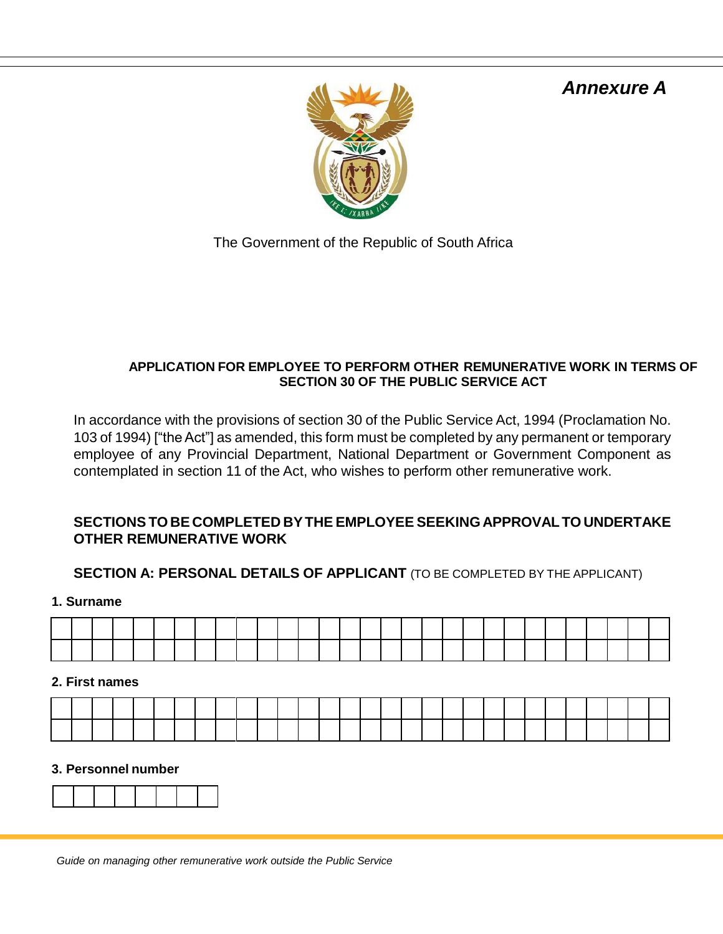# *Annexure A*



The Government of the Republic of South Africa

## **APPLICATION FOR EMPLOYEE TO PERFORM OTHER REMUNERATIVE WORK IN TERMS OF SECTION 30 OF THE PUBLIC SERVICE ACT**

In accordance with the provisions of section 30 of the Public Service Act, 1994 (Proclamation No. 103 of 1994) ["the Act"] as amended, this form must be completed by any permanent or temporary employee of any Provincial Department, National Department or Government Component as contemplated in section 11 of the Act, who wishes to perform other remunerative work.

# **SECTIONS TO BE COMPLETED BYTHE EMPLOYEE SEEKINGAPPROVALTO UNDERTAKE OTHER REMUNERATIVE WORK**

# **SECTION A: PERSONAL DETAILS OF APPLICANT** (TO BE COMPLETED BY THE APPLICANT)

**1. Surname**

|  | the contract of the contract of the contract of the contract of the contract of |  | and the contract of the contract of the contract of the contract of the contract of the contract of the contract of |  |  |  |  |  |  |  | <b>Contract Contract Contract Contract</b> | the contract of the contract of the contract of | and the contract of the contract of the contract of the contract of the contract of |  |  |
|--|---------------------------------------------------------------------------------|--|---------------------------------------------------------------------------------------------------------------------|--|--|--|--|--|--|--|--------------------------------------------|-------------------------------------------------|-------------------------------------------------------------------------------------|--|--|
|  |                                                                                 |  |                                                                                                                     |  |  |  |  |  |  |  |                                            |                                                 |                                                                                     |  |  |

## **2. First names**

#### **3. Personnel number**

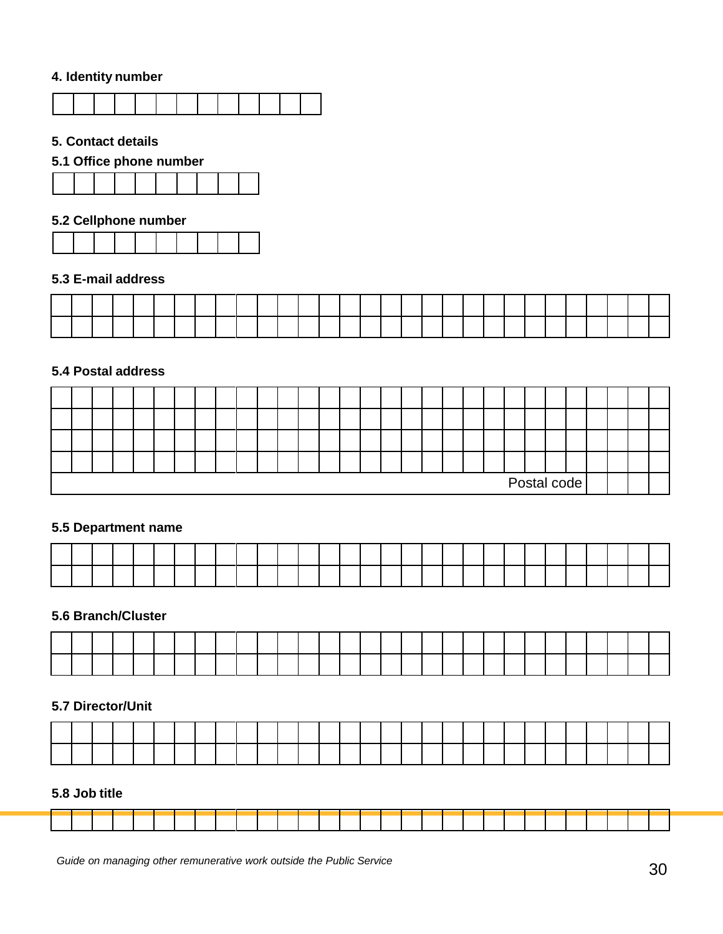## **4. Identity number**



#### **5. Contact details**

## **5.1 Office phone number**



#### **5.2 Cellphone number**



#### **5.3 E-mail address**

#### **5.4 Postal address**

|  |  |  |  |  |  |  |  |  |  |  | Postal code |  |  |  |
|--|--|--|--|--|--|--|--|--|--|--|-------------|--|--|--|

#### **5.5 Department name**

#### **5.6 Branch/Cluster**

## **5.7 Director/Unit**

#### **5.8 Job title**

|  |  |  |  |  |                                                                                                                 |  | and the state of the state of the state of                                                                      |  |  |  |  |  |  |  |
|--|--|--|--|--|-----------------------------------------------------------------------------------------------------------------|--|-----------------------------------------------------------------------------------------------------------------|--|--|--|--|--|--|--|
|  |  |  |  |  |                                                                                                                 |  |                                                                                                                 |  |  |  |  |  |  |  |
|  |  |  |  |  |                                                                                                                 |  |                                                                                                                 |  |  |  |  |  |  |  |
|  |  |  |  |  |                                                                                                                 |  |                                                                                                                 |  |  |  |  |  |  |  |
|  |  |  |  |  | the contract of the contract of the contract of the contract of the contract of the contract of the contract of |  | the contract of the contract of the contract of the contract of the contract of the contract of the contract of |  |  |  |  |  |  |  |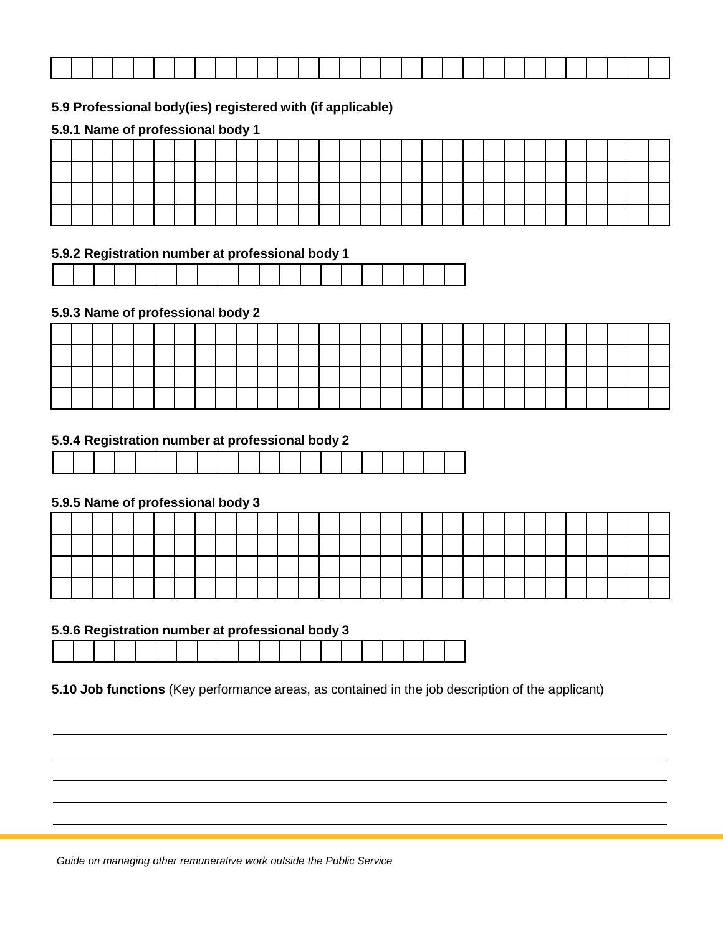| the contract of the contract of the contract of the<br>and the contract of the contract of the contract of the contract of the contract of the contract of the contract of | the contract of the contract of the contract of the contract of the contract of |  |
|----------------------------------------------------------------------------------------------------------------------------------------------------------------------------|---------------------------------------------------------------------------------|--|

## **5.9 Professional body(ies) registered with (if applicable)**

#### **5.9.1 Name of professional body 1**

#### **5.9.2 Registration number at professional body 1**

|  |  |  |  | . |  | and the contract of the contract of the contract of the contract of the contract of the contract of the contract of |  |  | . |  |
|--|--|--|--|---|--|---------------------------------------------------------------------------------------------------------------------|--|--|---|--|

#### **5.9.3 Name of professional body 2**

|  |  |  |  | <b>Contract Contract Contract Contract</b> |  | the contract of the contract of the |  |  |  |  |  |  |  |  |  |
|--|--|--|--|--------------------------------------------|--|-------------------------------------|--|--|--|--|--|--|--|--|--|
|  |  |  |  |                                            |  |                                     |  |  |  |  |  |  |  |  |  |

#### **5.9.4 Registration number at professional body 2**

#### **5.9.5 Name of professional body 3**

|  |  |  |  |  |  | and the contract of the contract of        | the contract of the contract of |  | the contract of the contract of the contract of the contract of the contract of | the contract of the contract of the |  |  |  |  |  |  |
|--|--|--|--|--|--|--------------------------------------------|---------------------------------|--|---------------------------------------------------------------------------------|-------------------------------------|--|--|--|--|--|--|
|  |  |  |  |  |  | <b>Contract Contract Contract Contract</b> |                                 |  |                                                                                 |                                     |  |  |  |  |  |  |
|  |  |  |  |  |  |                                            |                                 |  |                                                                                 |                                     |  |  |  |  |  |  |

#### **5.9.6 Registration number at professional body 3**

**5.10 Job functions** (Key performance areas, as contained in the job description of the applicant)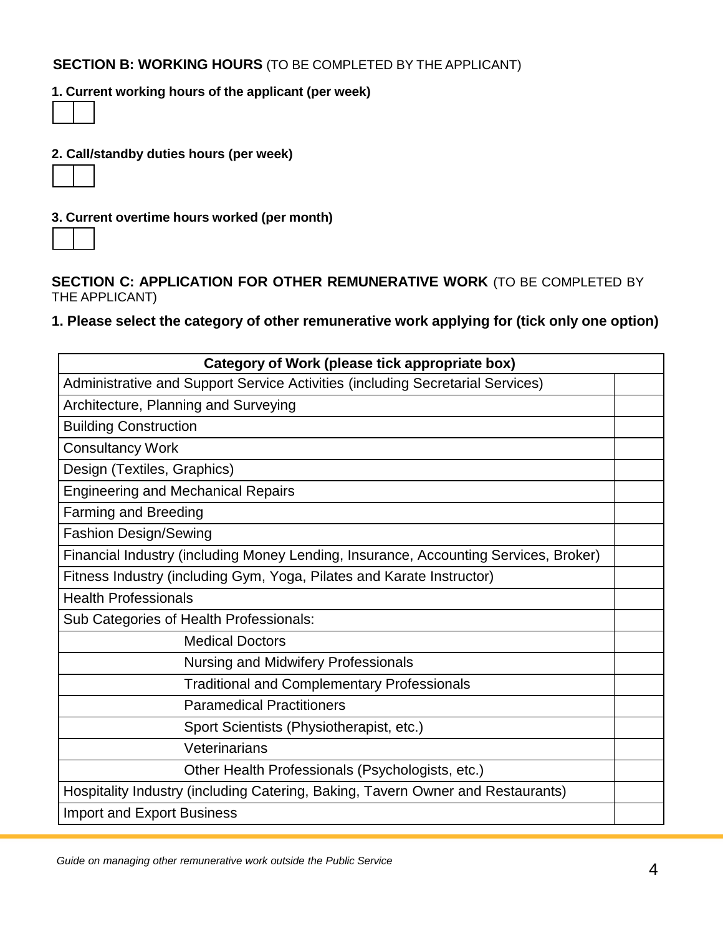## **SECTION B: WORKING HOURS** (TO BE COMPLETED BY THE APPLICANT)

## **1. Current working hours of the applicant (per week)**



## **2. Call/standby duties hours (per week)**



**3. Current overtime hours worked (per month)**

**SECTION C: APPLICATION FOR OTHER REMUNERATIVE WORK** (TO BE COMPLETED BY THE APPLICANT)

# **1. Please select the category of other remunerative work applying for (tick only one option)**

| Category of Work (please tick appropriate box)                                       |  |
|--------------------------------------------------------------------------------------|--|
| Administrative and Support Service Activities (including Secretarial Services)       |  |
| Architecture, Planning and Surveying                                                 |  |
| <b>Building Construction</b>                                                         |  |
| <b>Consultancy Work</b>                                                              |  |
| Design (Textiles, Graphics)                                                          |  |
| <b>Engineering and Mechanical Repairs</b>                                            |  |
| <b>Farming and Breeding</b>                                                          |  |
| <b>Fashion Design/Sewing</b>                                                         |  |
| Financial Industry (including Money Lending, Insurance, Accounting Services, Broker) |  |
| Fitness Industry (including Gym, Yoga, Pilates and Karate Instructor)                |  |
| <b>Health Professionals</b>                                                          |  |
| Sub Categories of Health Professionals:                                              |  |
| <b>Medical Doctors</b>                                                               |  |
| <b>Nursing and Midwifery Professionals</b>                                           |  |
| <b>Traditional and Complementary Professionals</b>                                   |  |
| <b>Paramedical Practitioners</b>                                                     |  |
| Sport Scientists (Physiotherapist, etc.)                                             |  |
| Veterinarians                                                                        |  |
| Other Health Professionals (Psychologists, etc.)                                     |  |
| Hospitality Industry (including Catering, Baking, Tavern Owner and Restaurants)      |  |
| <b>Import and Export Business</b>                                                    |  |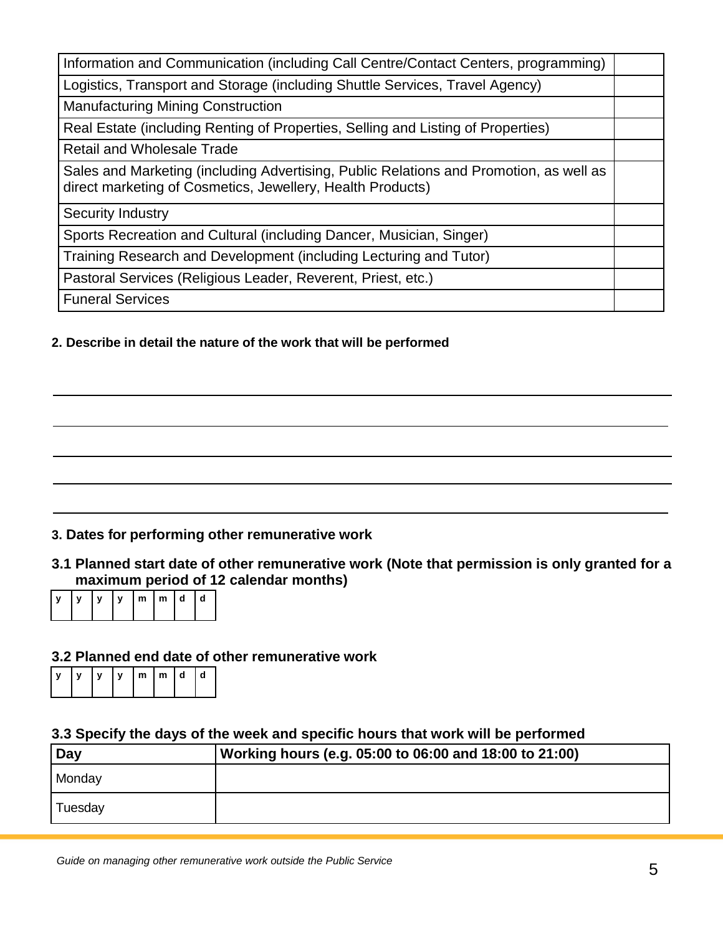| Information and Communication (including Call Centre/Contact Centers, programming)                                                                   |  |
|------------------------------------------------------------------------------------------------------------------------------------------------------|--|
| Logistics, Transport and Storage (including Shuttle Services, Travel Agency)                                                                         |  |
| <b>Manufacturing Mining Construction</b>                                                                                                             |  |
| Real Estate (including Renting of Properties, Selling and Listing of Properties)                                                                     |  |
| <b>Retail and Wholesale Trade</b>                                                                                                                    |  |
| Sales and Marketing (including Advertising, Public Relations and Promotion, as well as<br>direct marketing of Cosmetics, Jewellery, Health Products) |  |
| Security Industry                                                                                                                                    |  |
| Sports Recreation and Cultural (including Dancer, Musician, Singer)                                                                                  |  |
| Training Research and Development (including Lecturing and Tutor)                                                                                    |  |
| Pastoral Services (Religious Leader, Reverent, Priest, etc.)                                                                                         |  |
| <b>Funeral Services</b>                                                                                                                              |  |

## **2. Describe in detail the nature of the work that will be performed**

# **3. Dates for performing other remunerative work**

**3.1 Planned start date of other remunerative work (Note that permission is only granted for a maximum period of 12 calendar months)** 



# **3.2 Planned end date of other remunerative work**

| Iν |  | lm Im Id |  | l d |
|----|--|----------|--|-----|
|    |  |          |  |     |

#### **3.3 Specify the days of the week and specific hours that work will be performed**

| <b>Day</b> | Working hours (e.g. 05:00 to 06:00 and 18:00 to 21:00) |
|------------|--------------------------------------------------------|
| Monday     |                                                        |
| Tuesday    |                                                        |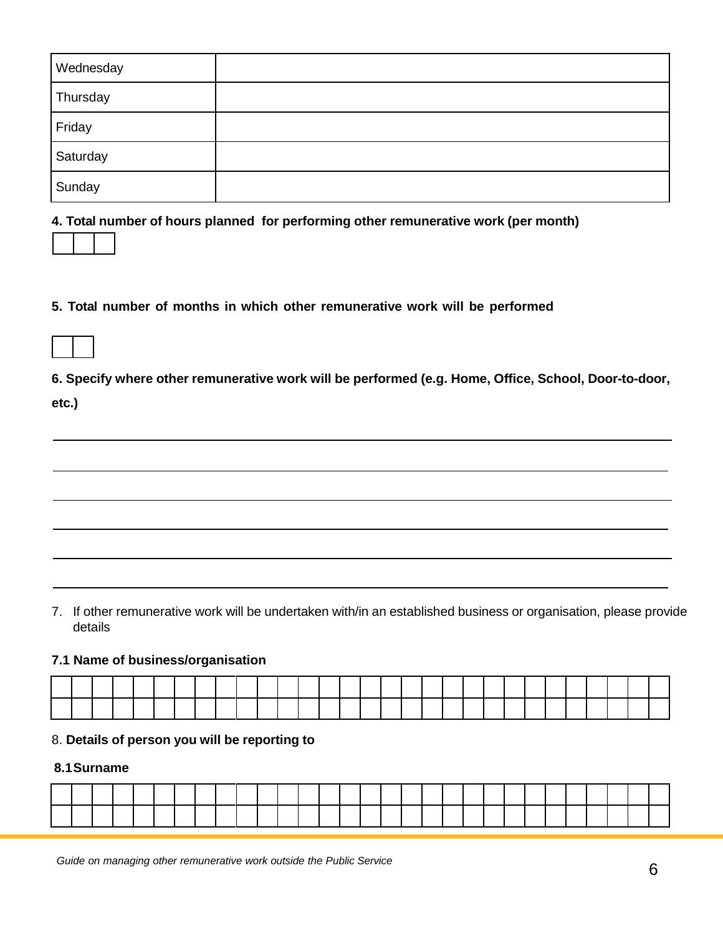| Wednesday |  |
|-----------|--|
| Thursday  |  |
| Friday    |  |
| Saturday  |  |
| Sunday    |  |

**4. Total number of hours planned for performing other remunerative work (per month)**

#### **5. Total number of months in which other remunerative work will be performed**

**6. Specify where other remunerative work will be performed (e.g. Home, Office, School, Door-to-door,**

**etc.)**

7. If other remunerative work will be undertaken with/in an established business or organisation, please provide details

#### **7.1 Name of business/organisation**

| the contract of the contract of the contract of the contract of the contract of the contract of the contract of     |  | and the contract of the contract of                                                                                 |                                                                                                                 |                                                                                 |                                                                                                                     |  | and the state of the state of the state of |  |                                                                                                                 |  |  |                                                                                                                     |  |   | <u>in the second contract of the second contract of the second contract of the second contract of the second contract of the second contract of the second contract of the second contract of the second contract of the second </u> |  |
|---------------------------------------------------------------------------------------------------------------------|--|---------------------------------------------------------------------------------------------------------------------|-----------------------------------------------------------------------------------------------------------------|---------------------------------------------------------------------------------|---------------------------------------------------------------------------------------------------------------------|--|--------------------------------------------|--|-----------------------------------------------------------------------------------------------------------------|--|--|---------------------------------------------------------------------------------------------------------------------|--|---|--------------------------------------------------------------------------------------------------------------------------------------------------------------------------------------------------------------------------------------|--|
| and the contract of the contract of the contract of the contract of the contract of the contract of the contract of |  | and the contract of the contract of the contract of the contract of the contract of the contract of the contract of | the contract of the contract of the contract of the contract of the contract of the contract of the contract of | the contract of the contract of the contract of the contract of the contract of | and the contract of the contract of the contract of the contract of the contract of the contract of the contract of |  |                                            |  | the contract of the contract of the contract of the contract of the contract of the contract of the contract of |  |  | and the contract of the contract of the contract of the contract of the contract of the contract of the contract of |  | . |                                                                                                                                                                                                                                      |  |

#### 8. **Details of person you will be reporting to**

#### **8.1Surname**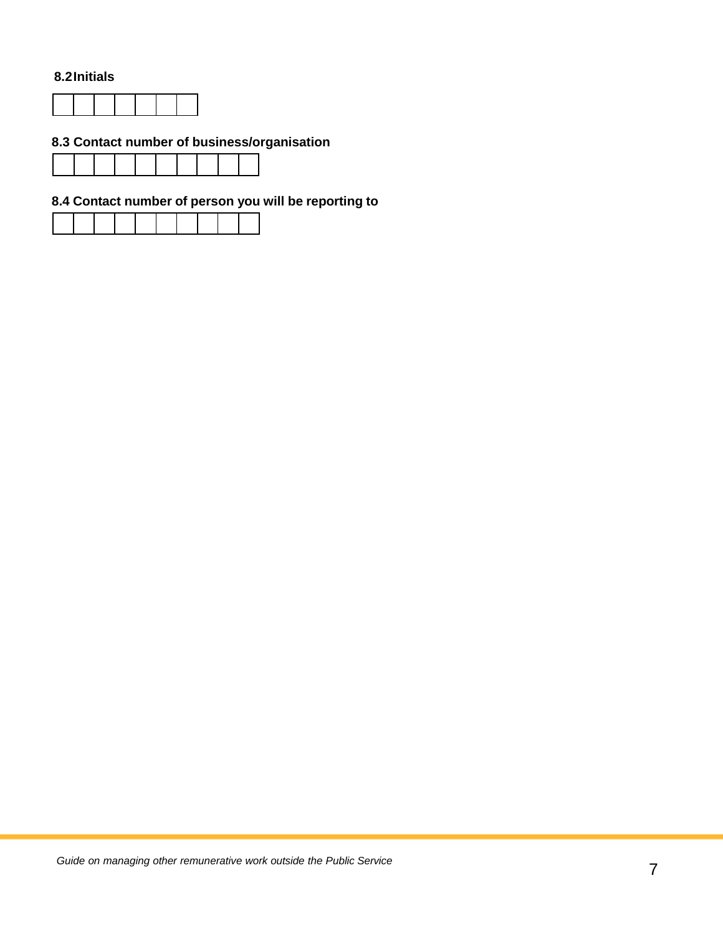#### **8.2Initials**



# **8.3 Contact number of business/organisation**

# **8.4 Contact number of person you will be reporting to**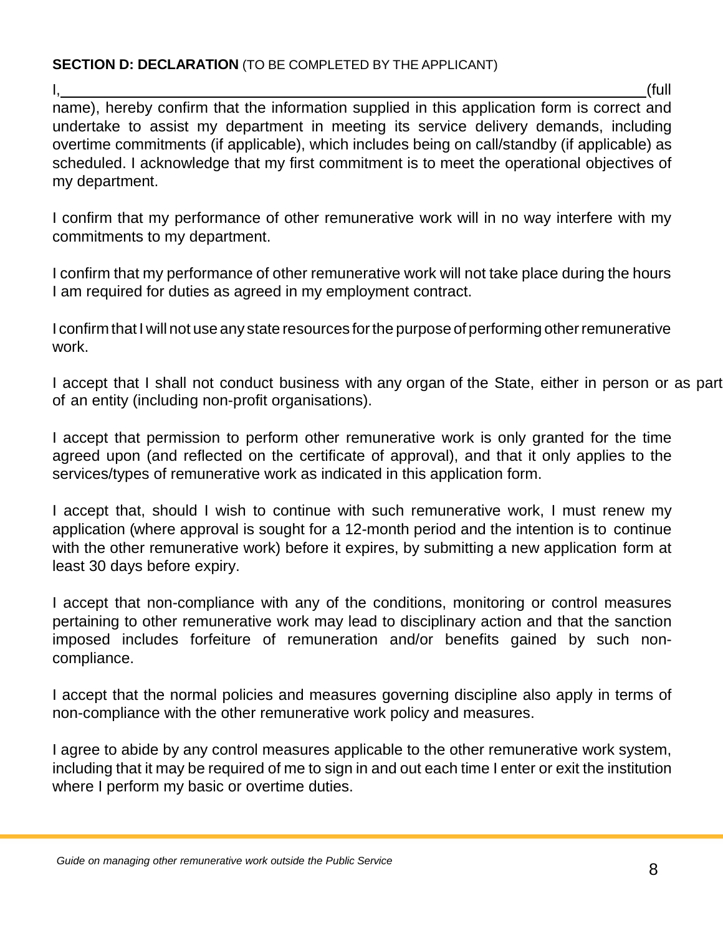# **SECTION D: DECLARATION** (TO BE COMPLETED BY THE APPLICANT)

I, (full name), hereby confirm that the information supplied in this application form is correct and undertake to assist my department in meeting its service delivery demands, including overtime commitments (if applicable), which includes being on call/standby (if applicable) as scheduled. I acknowledge that my first commitment is to meet the operational objectives of my department.

I confirm that my performance of other remunerative work will in no way interfere with my commitments to my department.

I confirm that my performance of other remunerative work will not take place during the hours I am required for duties as agreed in my employment contract.

I confirm that I will not use any state resources for the purpose of performing other remunerative work.

I accept that I shall not conduct business with any organ of the State, either in person or as part of an entity (including non-profit organisations).

I accept that permission to perform other remunerative work is only granted for the time agreed upon (and reflected on the certificate of approval), and that it only applies to the services/types of remunerative work as indicated in this application form.

I accept that, should I wish to continue with such remunerative work, I must renew my application (where approval is sought for a 12-month period and the intention is to continue with the other remunerative work) before it expires, by submitting a new application form at least 30 days before expiry.

I accept that non-compliance with any of the conditions, monitoring or control measures pertaining to other remunerative work may lead to disciplinary action and that the sanction imposed includes forfeiture of remuneration and/or benefits gained by such noncompliance.

I accept that the normal policies and measures governing discipline also apply in terms of non-compliance with the other remunerative work policy and measures.

I agree to abide by any control measures applicable to the other remunerative work system, including that it may be required of me to sign in and out each time I enter or exit the institution where I perform my basic or overtime duties.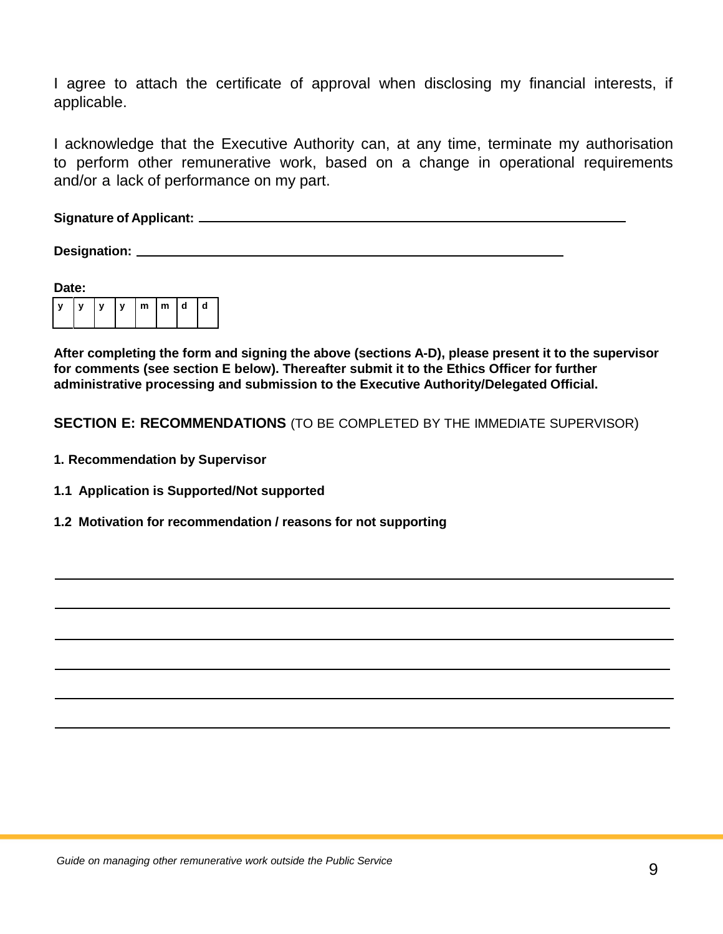I agree to attach the certificate of approval when disclosing my financial interests, if applicable.

I acknowledge that the Executive Authority can, at any time, terminate my authorisation to perform other remunerative work, based on a change in operational requirements and/or a lack of performance on my part.

**Signature of Applicant:**

**Designation:**

| Date: |   |              |                         |  |   |  |
|-------|---|--------------|-------------------------|--|---|--|
|       | y | $\mathbf{v}$ | $\lfloor m \rfloor m$ d |  | d |  |

**After completing the form and signing the above (sections A-D), please present it to the supervisor for comments (see section E below). Thereafter submit it to the Ethics Officer for further administrative processing and submission to the Executive Authority/Delegated Official.**

**SECTION E: RECOMMENDATIONS** (TO BE COMPLETED BY THE IMMEDIATE SUPERVISOR)

- **1. Recommendation by Supervisor**
- **1.1 Application is Supported/Not supported**
- **1.2 Motivation for recommendation / reasons for not supporting**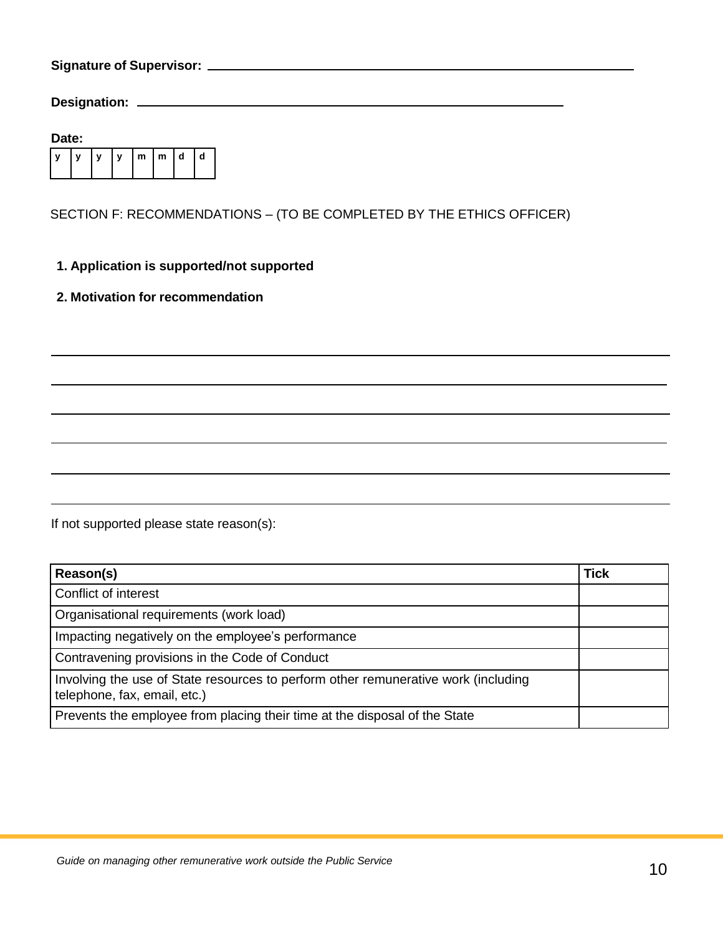**Signature of Supervisor:**

**Designation:** 

| Date: |  |   |   |  |                   |  |   |  |
|-------|--|---|---|--|-------------------|--|---|--|
|       |  | y | y |  | $m \mid m \mid d$ |  | d |  |

SECTION F: RECOMMENDATIONS – (TO BE COMPLETED BY THE ETHICS OFFICER)

### **1. Application is supported/not supported**

#### **2. Motivation for recommendation**

If not supported please state reason(s):

| Reason(s)                                                                                                          | <b>Tick</b> |
|--------------------------------------------------------------------------------------------------------------------|-------------|
| Conflict of interest                                                                                               |             |
| Organisational requirements (work load)                                                                            |             |
| Impacting negatively on the employee's performance                                                                 |             |
| Contravening provisions in the Code of Conduct                                                                     |             |
| Involving the use of State resources to perform other remunerative work (including<br>telephone, fax, email, etc.) |             |
| Prevents the employee from placing their time at the disposal of the State                                         |             |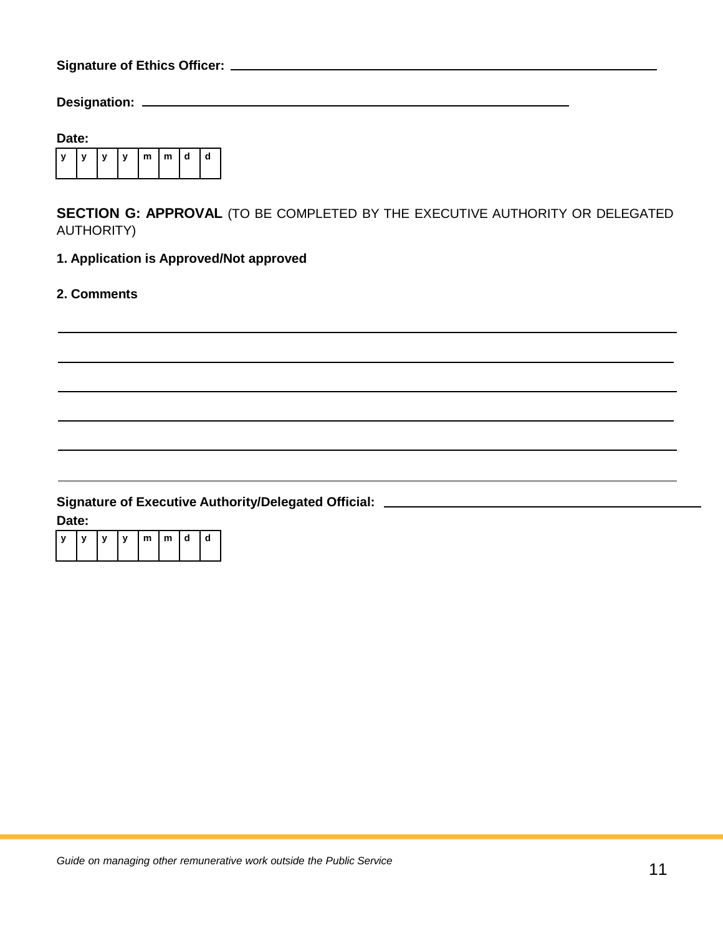**Signature of Ethics Officer:**

**Designation:** 

| Date: |  |   |   |  |                   |  |   |  |
|-------|--|---|---|--|-------------------|--|---|--|
|       |  | y | y |  | $m \mid m \mid d$ |  | d |  |

**SECTION G: APPROVAL** (TO BE COMPLETED BY THE EXECUTIVE AUTHORITY OR DELEGATED AUTHORITY)

# **1. Application is Approved/Not approved**

**2. Comments**

#### **Signature of Executive Authority/Delegated Official:**

**Date:**

| $\mathsf{v}$ | y  y  m  m  d  d |  |  |  |
|--------------|------------------|--|--|--|
|              |                  |  |  |  |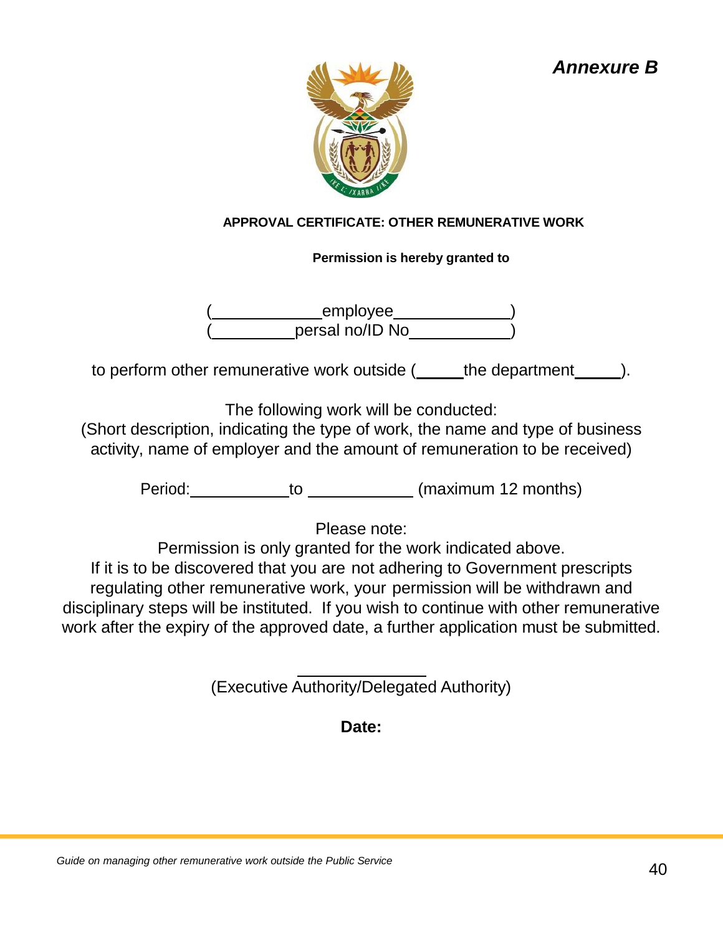# *Annexure B*



# **APPROVAL CERTIFICATE: OTHER REMUNERATIVE WORK**

# **Permission is hereby granted to**

( employee )  $($  persal no/ID No  $)$ 

to perform other remunerative work outside ( the department ).

The following work will be conducted:

(Short description, indicating the type of work, the name and type of business activity, name of employer and the amount of remuneration to be received)

Period: to (maximum 12 months)

Please note:

Permission is only granted for the work indicated above.

If it is to be discovered that you are not adhering to Government prescripts regulating other remunerative work, your permission will be withdrawn and disciplinary steps will be instituted. If you wish to continue with other remunerative work after the expiry of the approved date, a further application must be submitted.

(Executive Authority/Delegated Authority)

# **Date:**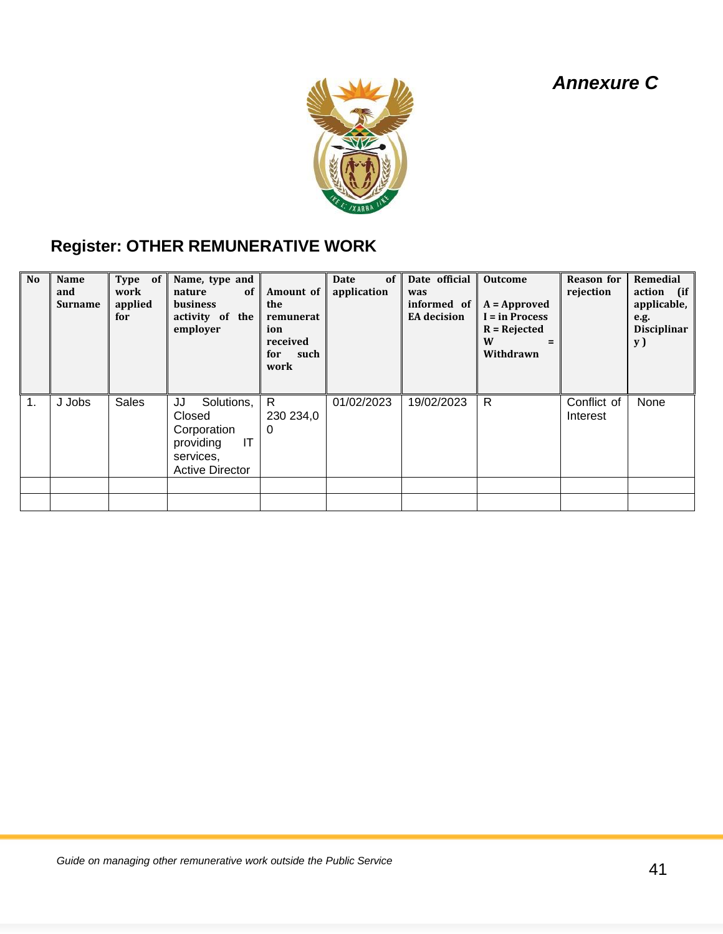# *Annexure C*



# **Register: OTHER REMUNERATIVE WORK**

| <b>No</b> | Name<br>and<br><b>Surname</b> | Type of<br>work<br>applied<br>for | Name, type and<br>nature<br>-of<br><b>business</b><br>activity of the<br>employer                   | Amount of<br>the<br>remunerat<br>ion<br>received<br>for<br>such<br>work | Date<br>of<br>application | Date official<br>was<br>informed of<br><b>EA</b> decision | <b>Outcome</b><br>$A = Approved$<br>I = in Process<br>$R = Rejected$<br>W<br>$=$<br>Withdrawn | <b>Reason</b> for<br>rejection | Remedial<br>action (if<br>applicable,<br>e.g.<br><b>Disciplinar</b><br><b>y</b> ) |
|-----------|-------------------------------|-----------------------------------|-----------------------------------------------------------------------------------------------------|-------------------------------------------------------------------------|---------------------------|-----------------------------------------------------------|-----------------------------------------------------------------------------------------------|--------------------------------|-----------------------------------------------------------------------------------|
| 1.        | J Jobs                        | <b>Sales</b>                      | JJ<br>Solutions,<br>Closed<br>Corporation<br>IT<br>providing<br>services.<br><b>Active Director</b> | R.<br>230 234,0<br>$\Omega$                                             | 01/02/2023                | 19/02/2023                                                | $\mathsf{R}$                                                                                  | Conflict of<br>Interest        | None                                                                              |
|           |                               |                                   |                                                                                                     |                                                                         |                           |                                                           |                                                                                               |                                |                                                                                   |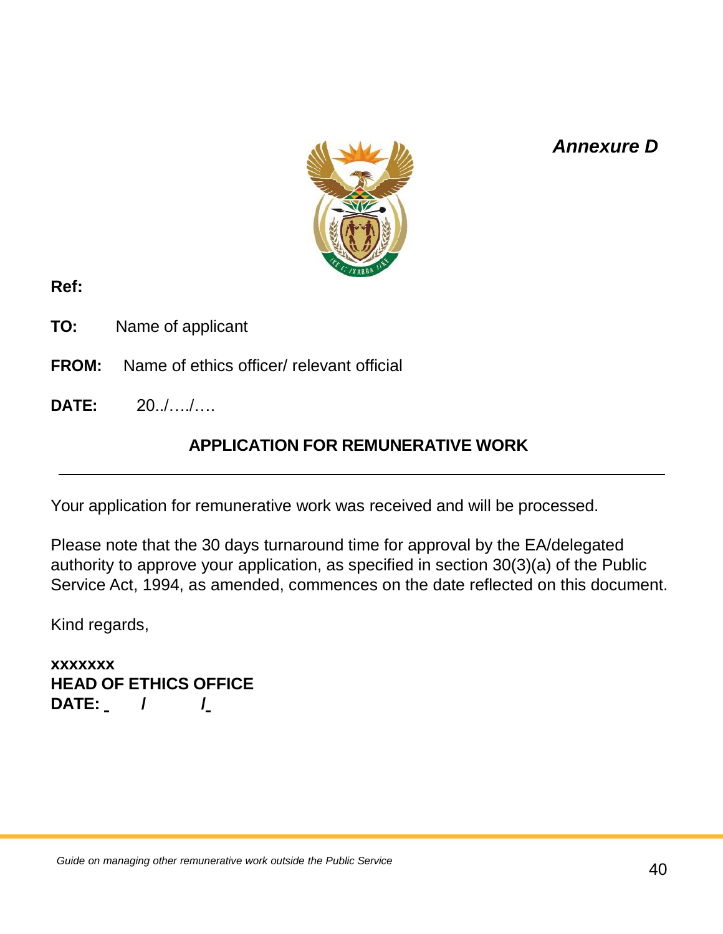# *Annexure D*



# **Ref:**

- **TO:** Name of applicant
- **FROM:** Name of ethics officer/ relevant official
- **DATE:** 20../…./….

# **APPLICATION FOR REMUNERATIVE WORK**

Your application for remunerative work was received and will be processed.

Please note that the 30 days turnaround time for approval by the EA/delegated authority to approve your application, as specified in section 30(3)(a) of the Public Service Act, 1994, as amended, commences on the date reflected on this document.

Kind regards,

**xxxxxxx HEAD OF ETHICS OFFICE DATE: / /**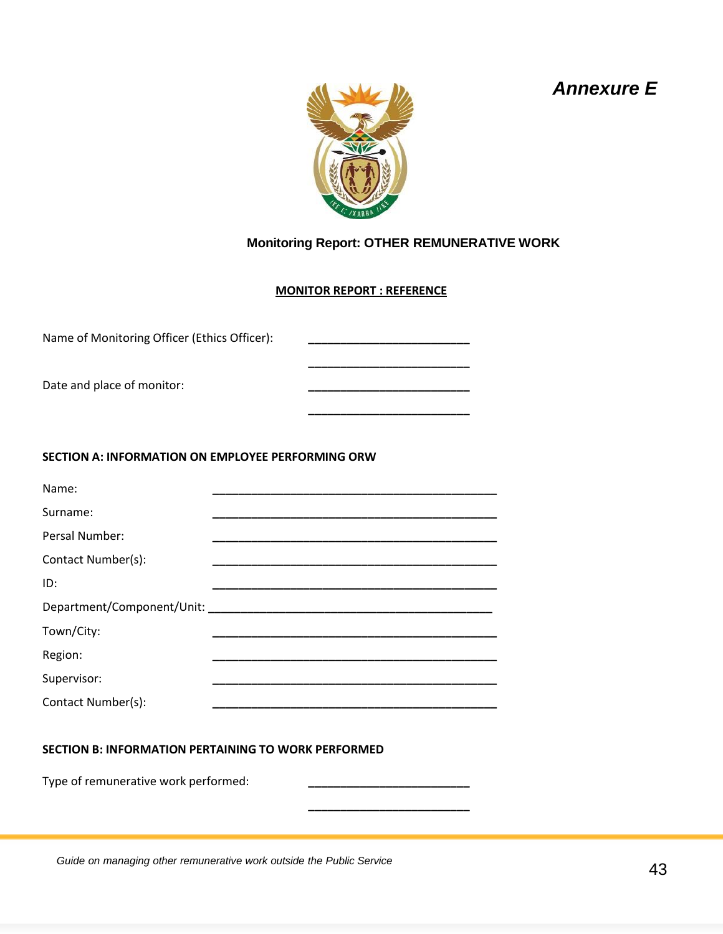# *Annexure E*



# **Monitoring Report: OTHER REMUNERATIVE WORK**

**\_\_\_\_\_\_\_\_\_\_\_\_\_\_\_\_\_\_\_\_\_\_\_\_\_** 

#### **MONITOR REPORT : REFERENCE**

| Name of Monitoring Officer (Ethics Officer):      |  |
|---------------------------------------------------|--|
| Date and place of monitor:                        |  |
| SECTION A: INFORMATION ON EMPLOYEE PERFORMING ORW |  |
| Name:                                             |  |
| Surname:                                          |  |
| Persal Number:                                    |  |
| Contact Number(s):                                |  |
| ID:                                               |  |
|                                                   |  |
| Town/City:                                        |  |
| Region:                                           |  |
| Supervisor:                                       |  |
| Contact Number(s):                                |  |
|                                                   |  |

#### **SECTION B: INFORMATION PERTAINING TO WORK PERFORMED**

Type of remunerative work performed: **\_\_\_\_\_\_\_\_\_\_\_\_\_\_\_\_\_\_\_\_\_\_\_\_\_**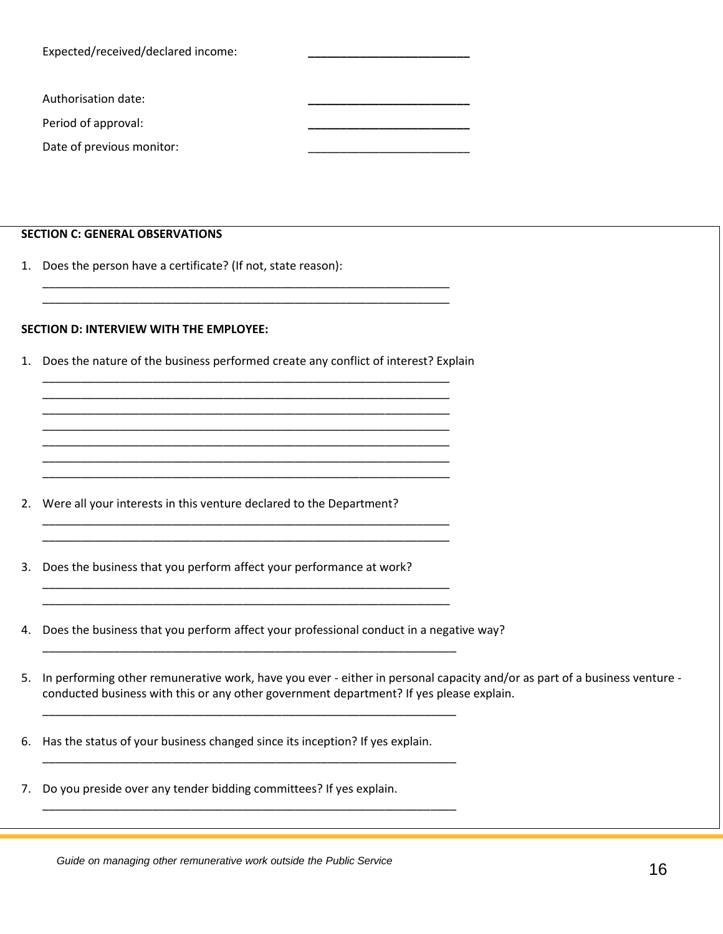| Expected/received/declared income: |  |
|------------------------------------|--|
| Authorisation date:                |  |
| Period of approval:                |  |
| Date of previous monitor:          |  |

#### **SECTION C: GENERAL OBSERVATIONS**

1. Does the person have a certificate? (If not, state reason):

#### **SECTION D: INTERVIEW WITH THE EMPLOYEE:**

1. Does the nature of the business performed create any conflict of interest? Explain \_\_\_\_\_\_\_\_\_\_\_\_\_\_\_\_\_\_\_\_\_\_\_\_\_\_\_\_\_\_\_\_\_\_\_\_\_\_\_\_\_\_\_\_\_\_\_\_\_\_\_\_\_\_\_\_\_\_\_\_\_\_\_

\_\_\_\_\_\_\_\_\_\_\_\_\_\_\_\_\_\_\_\_\_\_\_\_\_\_\_\_\_\_\_\_\_\_\_\_\_\_\_\_\_\_\_\_\_\_\_\_\_\_\_\_\_\_\_\_\_\_\_\_\_\_\_ \_\_\_\_\_\_\_\_\_\_\_\_\_\_\_\_\_\_\_\_\_\_\_\_\_\_\_\_\_\_\_\_\_\_\_\_\_\_\_\_\_\_\_\_\_\_\_\_\_\_\_\_\_\_\_\_\_\_\_\_\_\_\_ \_\_\_\_\_\_\_\_\_\_\_\_\_\_\_\_\_\_\_\_\_\_\_\_\_\_\_\_\_\_\_\_\_\_\_\_\_\_\_\_\_\_\_\_\_\_\_\_\_\_\_\_\_\_\_\_\_\_\_\_\_\_\_ \_\_\_\_\_\_\_\_\_\_\_\_\_\_\_\_\_\_\_\_\_\_\_\_\_\_\_\_\_\_\_\_\_\_\_\_\_\_\_\_\_\_\_\_\_\_\_\_\_\_\_\_\_\_\_\_\_\_\_\_\_\_\_ \_\_\_\_\_\_\_\_\_\_\_\_\_\_\_\_\_\_\_\_\_\_\_\_\_\_\_\_\_\_\_\_\_\_\_\_\_\_\_\_\_\_\_\_\_\_\_\_\_\_\_\_\_\_\_\_\_\_\_\_\_\_\_ \_\_\_\_\_\_\_\_\_\_\_\_\_\_\_\_\_\_\_\_\_\_\_\_\_\_\_\_\_\_\_\_\_\_\_\_\_\_\_\_\_\_\_\_\_\_\_\_\_\_\_\_\_\_\_\_\_\_\_\_\_\_\_

\_\_\_\_\_\_\_\_\_\_\_\_\_\_\_\_\_\_\_\_\_\_\_\_\_\_\_\_\_\_\_\_\_\_\_\_\_\_\_\_\_\_\_\_\_\_\_\_\_\_\_\_\_\_\_\_\_\_\_\_\_\_\_ \_\_\_\_\_\_\_\_\_\_\_\_\_\_\_\_\_\_\_\_\_\_\_\_\_\_\_\_\_\_\_\_\_\_\_\_\_\_\_\_\_\_\_\_\_\_\_\_\_\_\_\_\_\_\_\_\_\_\_\_\_\_\_

\_\_\_\_\_\_\_\_\_\_\_\_\_\_\_\_\_\_\_\_\_\_\_\_\_\_\_\_\_\_\_\_\_\_\_\_\_\_\_\_\_\_\_\_\_\_\_\_\_\_\_\_\_\_\_\_\_\_\_\_\_\_\_ \_\_\_\_\_\_\_\_\_\_\_\_\_\_\_\_\_\_\_\_\_\_\_\_\_\_\_\_\_\_\_\_\_\_\_\_\_\_\_\_\_\_\_\_\_\_\_\_\_\_\_\_\_\_\_\_\_\_\_\_\_\_\_

\_\_\_\_\_\_\_\_\_\_\_\_\_\_\_\_\_\_\_\_\_\_\_\_\_\_\_\_\_\_\_\_\_\_\_\_\_\_\_\_\_\_\_\_\_\_\_\_\_\_\_\_\_\_\_\_\_\_\_\_\_\_\_\_

\_\_\_\_\_\_\_\_\_\_\_\_\_\_\_\_\_\_\_\_\_\_\_\_\_\_\_\_\_\_\_\_\_\_\_\_\_\_\_\_\_\_\_\_\_\_\_\_\_\_\_\_\_\_\_\_\_\_\_\_\_\_\_\_

\_\_\_\_\_\_\_\_\_\_\_\_\_\_\_\_\_\_\_\_\_\_\_\_\_\_\_\_\_\_\_\_\_\_\_\_\_\_\_\_\_\_\_\_\_\_\_\_\_\_\_\_\_\_\_\_\_\_\_\_\_\_\_\_

\_\_\_\_\_\_\_\_\_\_\_\_\_\_\_\_\_\_\_\_\_\_\_\_\_\_\_\_\_\_\_\_\_\_\_\_\_\_\_\_\_\_\_\_\_\_\_\_\_\_\_\_\_\_\_\_\_\_\_\_\_\_\_\_

\_\_\_\_\_\_\_\_\_\_\_\_\_\_\_\_\_\_\_\_\_\_\_\_\_\_\_\_\_\_\_\_\_\_\_\_\_\_\_\_\_\_\_\_\_\_\_\_\_\_\_\_\_\_\_\_\_\_\_\_\_\_\_ \_\_\_\_\_\_\_\_\_\_\_\_\_\_\_\_\_\_\_\_\_\_\_\_\_\_\_\_\_\_\_\_\_\_\_\_\_\_\_\_\_\_\_\_\_\_\_\_\_\_\_\_\_\_\_\_\_\_\_\_\_\_\_

- 2. Were all your interests in this venture declared to the Department?
- 3. Does the business that you perform affect your performance at work?
- 4. Does the business that you perform affect your professional conduct in a negative way?
- 5. In performing other remunerative work, have you ever either in personal capacity and/or as part of a business venture conducted business with this or any other government department? If yes please explain.
- 6. Has the status of your business changed since its inception? If yes explain.
- 7. Do you preside over any tender bidding committees? If yes explain.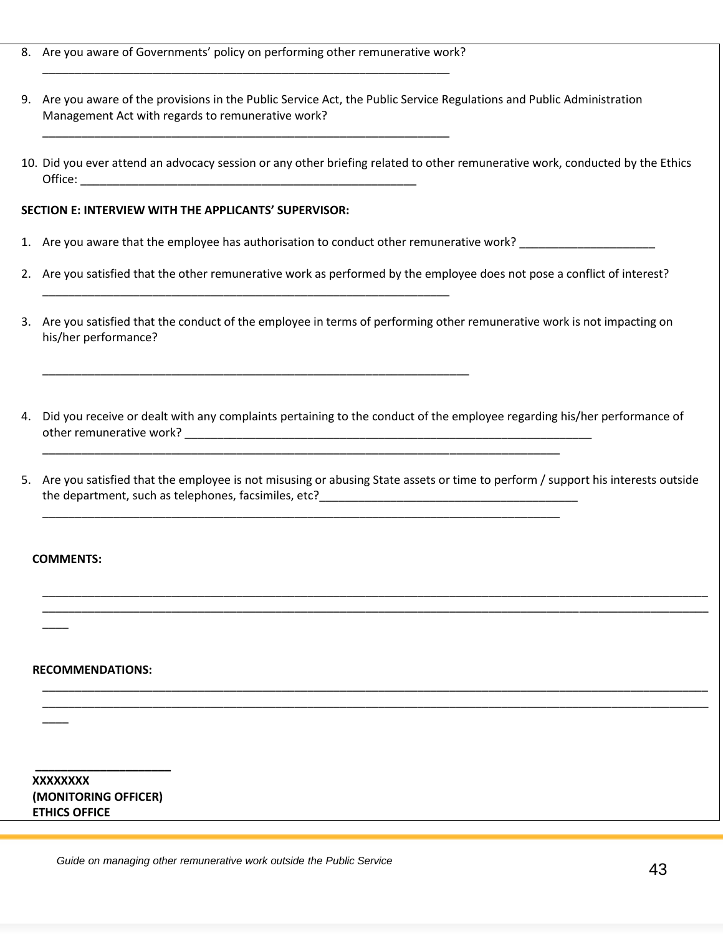8. Are you aware of Governments' policy on performing other remunerative work? \_\_\_\_\_\_\_\_\_\_\_\_\_\_\_\_\_\_\_\_\_\_\_\_\_\_\_\_\_\_\_\_\_\_\_\_\_\_\_\_\_\_\_\_\_\_\_\_\_\_\_\_\_\_\_\_\_\_\_\_\_\_\_

\_\_\_\_\_\_\_\_\_\_\_\_\_\_\_\_\_\_\_\_\_\_\_\_\_\_\_\_\_\_\_\_\_\_\_\_\_\_\_\_\_\_\_\_\_\_\_\_\_\_\_\_\_\_\_\_\_\_\_\_\_\_\_

\_\_\_\_\_\_\_\_\_\_\_\_\_\_\_\_\_\_\_\_\_\_\_\_\_\_\_\_\_\_\_\_\_\_\_\_\_\_\_\_\_\_\_\_\_\_\_\_\_\_\_\_\_\_\_\_\_\_\_\_\_\_\_

\_\_\_\_\_\_\_\_\_\_\_\_\_\_\_\_\_\_\_\_\_\_\_\_\_\_\_\_\_\_\_\_\_\_\_\_\_\_\_\_\_\_\_\_\_\_\_\_\_\_\_\_\_\_\_\_\_\_\_\_\_\_\_\_\_\_

- 9. Are you aware of the provisions in the Public Service Act, the Public Service Regulations and Public Administration Management Act with regards to remunerative work?
- 10. Did you ever attend an advocacy session or any other briefing related to other remunerative work, conducted by the Ethics Office: \_\_\_\_\_\_\_\_\_\_\_\_\_\_\_\_\_\_\_\_\_\_\_\_\_\_\_\_\_\_\_\_\_\_\_\_\_\_\_\_\_\_\_\_\_\_\_\_\_\_\_\_

#### **SECTION E: INTERVIEW WITH THE APPLICANTS' SUPERVISOR:**

1. Are you aware that the employee has authorisation to conduct other remunerative work? \_\_\_\_\_\_\_\_\_\_\_\_\_\_\_\_\_\_\_\_\_

\_\_\_\_\_\_\_\_\_\_\_\_\_\_\_\_\_\_\_\_\_\_\_\_\_\_\_\_\_\_\_\_\_\_\_\_\_\_\_\_\_\_\_\_\_\_\_\_\_\_\_\_\_\_\_\_\_\_\_\_\_\_\_\_\_\_\_\_\_\_\_\_\_\_\_\_\_\_\_\_

\_\_\_\_\_\_\_\_\_\_\_\_\_\_\_\_\_\_\_\_\_\_\_\_\_\_\_\_\_\_\_\_\_\_\_\_\_\_\_\_\_\_\_\_\_\_\_\_\_\_\_\_\_\_\_\_\_\_\_\_\_\_\_\_\_\_\_\_\_\_\_\_\_\_\_\_\_\_\_\_

- 2. Are you satisfied that the other remunerative work as performed by the employee does not pose a conflict of interest?
- 3. Are you satisfied that the conduct of the employee in terms of performing other remunerative work is not impacting on his/her performance?
- 4. Did you receive or dealt with any complaints pertaining to the conduct of the employee regarding his/her performance of other remunerative work? \_\_\_\_\_\_\_\_\_\_\_\_\_\_\_\_\_\_\_\_\_\_\_\_\_\_\_\_\_\_\_\_\_\_\_\_\_\_\_\_\_\_\_\_\_\_\_\_\_\_\_\_\_\_\_\_\_\_\_\_\_\_\_
- 5. Are you satisfied that the employee is not misusing or abusing State assets or time to perform / support his interests outside the department, such as telephones, facsimiles, etc?\_\_\_\_\_\_\_\_\_\_\_\_\_\_\_\_\_\_\_\_\_\_\_\_\_\_\_\_\_\_\_\_\_\_\_\_\_\_\_\_

\_\_\_\_\_\_\_\_\_\_\_\_\_\_\_\_\_\_\_\_\_\_\_\_\_\_\_\_\_\_\_\_\_\_\_\_\_\_\_\_\_\_\_\_\_\_\_\_\_\_\_\_\_\_\_\_\_\_\_\_\_\_\_\_\_\_\_\_\_\_\_\_\_\_\_\_\_\_\_\_\_\_\_\_\_\_\_\_\_\_\_\_\_\_\_\_\_\_\_\_\_\_\_ \_\_\_\_\_\_\_\_\_\_\_\_\_\_\_\_\_\_\_\_\_\_\_\_\_\_\_\_\_\_\_\_\_\_\_\_\_\_\_\_\_\_\_\_\_\_\_\_\_\_\_\_\_\_\_\_\_\_\_\_\_\_\_\_\_\_\_\_\_\_\_\_\_\_\_\_\_\_\_\_\_\_\_\_\_\_\_\_\_\_\_\_\_\_\_\_\_\_\_\_\_\_\_

\_\_\_\_\_\_\_\_\_\_\_\_\_\_\_\_\_\_\_\_\_\_\_\_\_\_\_\_\_\_\_\_\_\_\_\_\_\_\_\_\_\_\_\_\_\_\_\_\_\_\_\_\_\_\_\_\_\_\_\_\_\_\_\_\_\_\_\_\_\_\_\_\_\_\_\_\_\_\_\_\_\_\_\_\_\_\_\_\_\_\_\_\_\_\_\_\_\_\_\_\_\_\_ \_\_\_\_\_\_\_\_\_\_\_\_\_\_\_\_\_\_\_\_\_\_\_\_\_\_\_\_\_\_\_\_\_\_\_\_\_\_\_\_\_\_\_\_\_\_\_\_\_\_\_\_\_\_\_\_\_\_\_\_\_\_\_\_\_\_\_\_\_\_\_\_\_\_\_\_\_\_\_\_\_\_\_\_\_\_\_\_\_\_\_\_\_\_\_\_\_\_\_\_\_\_\_

#### **COMMENTS:**

\_\_\_\_

 $\overline{\phantom{a}}$ 

#### **RECOMMENDATIONS:**

 **XXXXXXXX (MONITORING OFFICER) ETHICS OFFICE**

**\_\_\_\_\_\_\_\_\_\_\_\_\_\_\_\_\_\_\_\_\_**